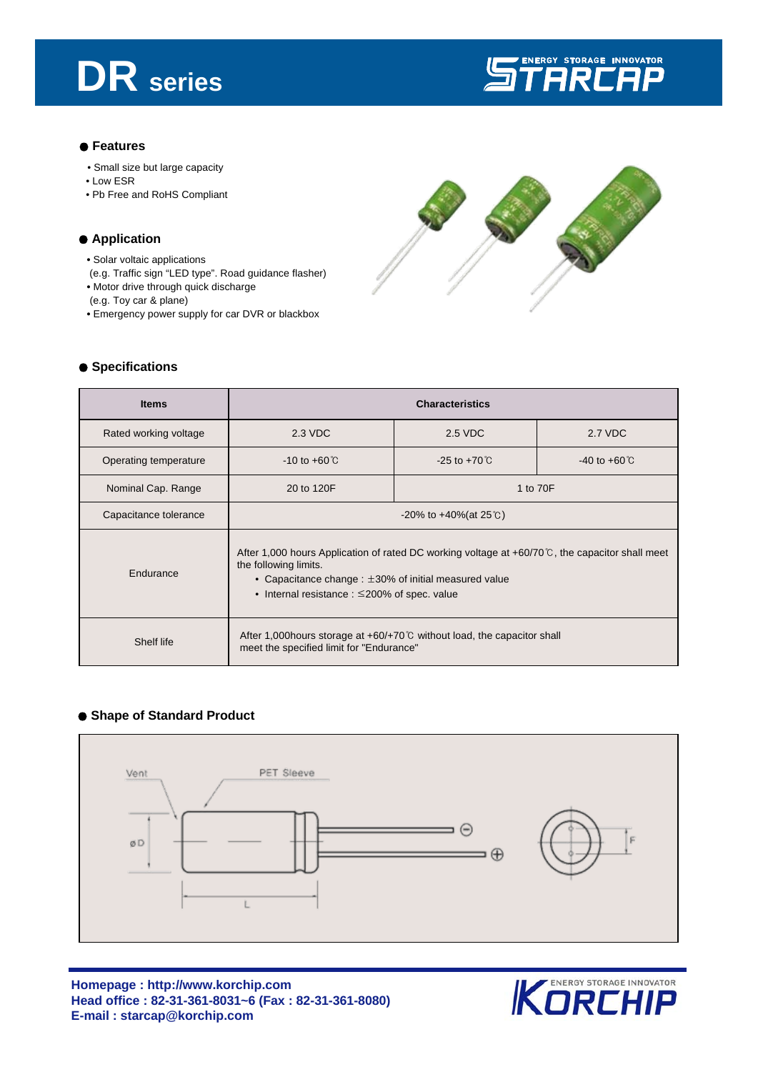# **DR series**



#### ● **Features**

- Small size but large capacity
- Low ESR
- Pb Free and RoHS Compliant

### ● Application

- Solar voltaic applications
- (e.g. Traffic sign "LED type". Road guidance flasher) **•** Motor drive through quick discharge
- (e.g. Toy car & plane)
- Emergency power supply for car DVR or blackbox



#### ● Specifications

| <b>Items</b>          | <b>Characteristics</b>                                                                                                                                                                                                                                 |                          |                          |  |  |
|-----------------------|--------------------------------------------------------------------------------------------------------------------------------------------------------------------------------------------------------------------------------------------------------|--------------------------|--------------------------|--|--|
| Rated working voltage | 2.3 VDC                                                                                                                                                                                                                                                | 2.5 VDC                  | 2.7 VDC                  |  |  |
| Operating temperature | $-10$ to $+60^{\circ}$ C                                                                                                                                                                                                                               | $-25$ to $+70^{\circ}$ C | $-40$ to $+60^{\circ}$ C |  |  |
| Nominal Cap. Range    | 20 to 120F                                                                                                                                                                                                                                             | 1 to 70F                 |                          |  |  |
| Capacitance tolerance | $-20\%$ to $+40\%$ (at 25 °C)                                                                                                                                                                                                                          |                          |                          |  |  |
| Endurance             | After 1,000 hours Application of rated DC working voltage at $+60/70^{\circ}$ , the capacitor shall meet<br>the following limits.<br>• Capacitance change : $\pm 30\%$ of initial measured value<br>• Internal resistance : $\leq$ 200% of spec. value |                          |                          |  |  |
| Shelf life            | After 1,000 hours storage at $+60/+70^{\circ}$ without load, the capacitor shall<br>meet the specified limit for "Endurance"                                                                                                                           |                          |                          |  |  |

#### ● **Shape of Standard Product**



**Homepage : http://www.korchip.com Head office : 82-31-361-8031~6 (Fax : 82-31-361-8080) E-mail : starcap@korchip.com**